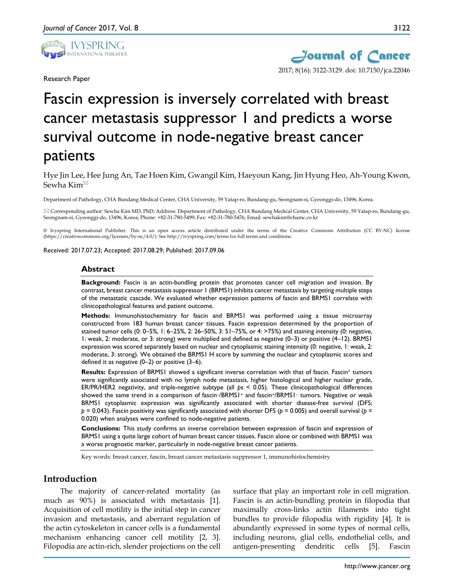

Research Paper



# Fascin expression is inversely correlated with breast cancer metastasis suppressor 1 and predicts a worse survival outcome in node-negative breast cancer patients

Hye Jin Lee, Hee Jung An, Tae Hoen Kim, Gwangil Kim, Haeyoun Kang, Jin Hyung Heo, Ah-Young Kwon, Sewha Kim

Department of Pathology, CHA Bundang Medical Center, CHA University, 59 Yatap-ro, Bundang-gu, Seongnam-si, Gyeonggi-do, 13496, Korea.

 Corresponding author: Sewha Kim MD, PhD; Address: Department of Pathology, CHA Bundang Medical Center, CHA University, 59 Yatap-ro, Bundang-gu, Seongnam-si, Gyeonggi-do, 13496, Korea; Phone: +82-31-780-5499; Fax: +82-31-780-5476; Email: sewhakim@chamc.co.kr

© Ivyspring International Publisher. This is an open access article distributed under the terms of the Creative Commons Attribution (CC BY-NC) license (https://creativecommons.org/licenses/by-nc/4.0/). See http://ivyspring.com/terms for full terms and conditions.

Received: 2017.07.23; Accepted: 2017.08.29; Published: 2017.09.06

#### **Abstract**

**Background:** Fascin is an actin-bundling protein that promotes cancer cell migration and invasion. By contrast, breast cancer metastasis suppressor 1 (BRMS1) inhibits cancer metastasis by targeting multiple steps of the metastatic cascade. We evaluated whether expression patterns of fascin and BRMS1 correlate with clinicopathological features and patient outcome.

**Methods:** Immunohistochemistry for fascin and BRMS1 was performed using a tissue microarray constructed from 183 human breast cancer tissues. Fascin expression determined by the proportion of stained tumor cells (0: 0–5%, 1: 6–25%, 2: 26–50%, 3: 51–75%, or 4: >75%) and staining intensity (0: negative, 1: weak, 2: moderate, or 3: strong) were multiplied and defined as negative (0–3) or positive (4–12). BRMS1 expression was scored separately based on nuclear and cytoplasmic staining intensity (0: negative, 1: weak, 2: moderate, 3: strong). We obtained the BRMS1 H score by summing the nuclear and cytoplasmic scores and defined it as negative (0–2) or positive (3–6).

**Results:** Expression of BRMS1 showed a significant inverse correlation with that of fascin. Fascin<sup>+</sup> tumors were significantly associated with no lymph node metastasis, higher histological and higher nuclear grade, ER/PR/HER2 negativity, and triple-negative subtype (all *p*s < 0.05). These clinicopathological differences showed the same trend in a comparison of fascin-/BRMS1<sup>+</sup> and fascin<sup>+</sup>/BRMS1<sup>-</sup> tumors. Negative or weak BRMS1 cytoplasmic expression was significantly associated with shorter disease-free survival (DFS; *p* = 0.043). Fascin positivity was significantly associated with shorter DFS (*p* = 0.005) and overall survival (*p* = 0.020) when analyses were confined to node-negative patients.

**Conclusions:** This study confirms an inverse correlation between expression of fascin and expression of BRMS1 using a quite large cohort of human breast cancer tissues. Fascin alone or combined with BRMS1 was a worse prognostic marker, particularly in node-negative breast cancer patients.

Key words: breast cancer, fascin, breast cancer metastasis suppressor 1, immunohistochemistry

## **Introduction**

The majority of cancer-related mortality (as much as 90%) is associated with metastasis [1]. Acquisition of cell motility is the initial step in cancer invasion and metastasis, and aberrant regulation of the actin cytoskeleton in cancer cells is a fundamental mechanism enhancing cancer cell motility [2, 3]. Filopodia are actin-rich, slender projections on the cell

surface that play an important role in cell migration. Fascin is an actin-bundling protein in filopodia that maximally cross-links actin filaments into tight bundles to provide filopodia with rigidity [4]. It is abundantly expressed in some types of normal cells, including neurons, glial cells, endothelial cells, and antigen-presenting dendritic cells [5]. Fascin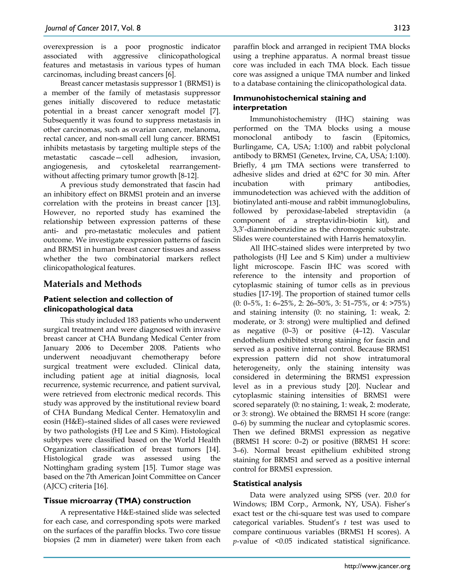overexpression is a poor prognostic indicator associated with aggressive clinicopathological features and metastasis in various types of human carcinomas, including breast cancers [6].

Breast cancer metastasis suppressor 1 (BRMS1) is a member of the family of metastasis suppressor genes initially discovered to reduce metastatic potential in a breast cancer xenograft model [7]. Subsequently it was found to suppress metastasis in other carcinomas, such as ovarian cancer, melanoma, rectal cancer, and non-small cell lung cancer. BRMS1 inhibits metastasis by targeting multiple steps of the metastatic cascade—cell adhesion, invasion, angiogenesis, and cytoskeletal rearrangementwithout affecting primary tumor growth [8-12].

A previous study demonstrated that fascin had an inhibitory effect on BRMS1 protein and an inverse correlation with the proteins in breast cancer [13]. However, no reported study has examined the relationship between expression patterns of these anti- and pro-metastatic molecules and patient outcome. We investigate expression patterns of fascin and BRMS1 in human breast cancer tissues and assess whether the two combinatorial markers reflect clinicopathological features.

# **Materials and Methods**

## **Patient selection and collection of clinicopathological data**

This study included 183 patients who underwent surgical treatment and were diagnosed with invasive breast cancer at CHA Bundang Medical Center from January 2006 to December 2008. Patients who underwent neoadjuvant chemotherapy before surgical treatment were excluded. Clinical data, including patient age at initial diagnosis, local recurrence, systemic recurrence, and patient survival, were retrieved from electronic medical records. This study was approved by the institutional review board of CHA Bundang Medical Center. Hematoxylin and eosin (H&E)–stained slides of all cases were reviewed by two pathologists (HJ Lee and S Kim). Histological subtypes were classified based on the World Health Organization classification of breast tumors [14]. Histological grade was assessed using the Nottingham grading system [15]. Tumor stage was based on the 7th American Joint Committee on Cancer (AJCC) criteria [16].

## **Tissue microarray (TMA) construction**

A representative H&E-stained slide was selected for each case, and corresponding spots were marked on the surfaces of the paraffin blocks. Two core tissue biopsies (2 mm in diameter) were taken from each

paraffin block and arranged in recipient TMA blocks using a trephine apparatus. A normal breast tissue core was included in each TMA block. Each tissue core was assigned a unique TMA number and linked to a database containing the clinicopathological data.

## **Immunohistochemical staining and interpretation**

Immunohistochemistry (IHC) staining was performed on the TMA blocks using a mouse monoclonal antibody to fascin (Epitomics, Burlingame, CA, USA; 1:100) and rabbit polyclonal antibody to BRMS1 (Genetex, Irvine, CA, USA; 1:100). Briefly, 4 μm TMA sections were transferred to adhesive slides and dried at 62°C for 30 min. After incubation with primary antibodies, immunodetection was achieved with the addition of biotinylated anti-mouse and rabbit immunoglobulins, followed by peroxidase-labeled streptavidin (a component of a streptavidin-biotin kit), and 3,3'-diaminobenzidine as the chromogenic substrate. Slides were counterstained with Harris hematoxylin.

All IHC-stained slides were interpreted by two pathologists (HJ Lee and S Kim) under a multiview light microscope. Fascin IHC was scored with reference to the intensity and proportion of cytoplasmic staining of tumor cells as in previous studies [17-19]. The proportion of stained tumor cells  $(0: 0-5\%, 1: 6-25\%, 2: 26-50\%, 3: 51-75\%, \text{ or } 4: >75\%)$ and staining intensity (0: no staining, 1: weak, 2: moderate, or 3: strong) were multiplied and defined as negative (0–3) or positive (4–12). Vascular endothelium exhibited strong staining for fascin and served as a positive internal control. Because BRMS1 expression pattern did not show intratumoral heterogeneity, only the staining intensity was considered in determining the BRMS1 expression level as in a previous study [20]. Nuclear and cytoplasmic staining intensities of BRMS1 were scored separately (0: no staining, 1: weak, 2: moderate, or 3: strong). We obtained the BRMS1 H score (range: 0–6) by summing the nuclear and cytoplasmic scores. Then we defined BRMS1 expression as negative (BRMS1 H score: 0–2) or positive (BRMS1 H score: 3–6). Normal breast epithelium exhibited strong staining for BRMS1 and served as a positive internal control for BRMS1 expression.

## **Statistical analysis**

Data were analyzed using SPSS (ver. 20.0 for Windows; IBM Corp., Armonk, NY, USA). Fisher's exact test or the chi-square test was used to compare categorical variables. Student's *t* test was used to compare continuous variables (BRMS1 H scores). A *p*-value of <0.05 indicated statistical significance.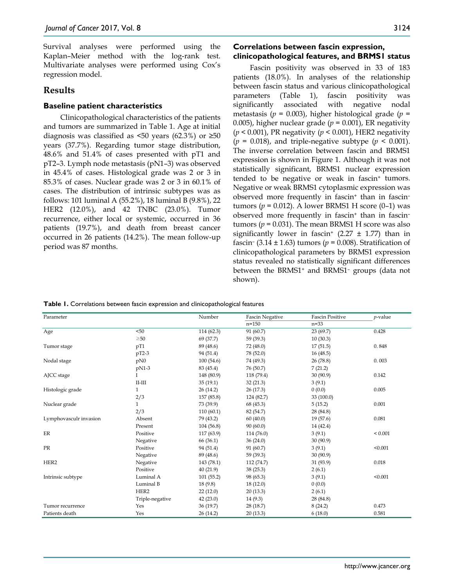Survival analyses were performed using the Kaplan–Meier method with the log-rank test. Multivariate analyses were performed using Cox's regression model.

## **Results**

## **Baseline patient characteristics**

Clinicopathological characteristics of the patients and tumors are summarized in Table 1. Age at initial diagnosis was classified as  $\leq 50$  years (62.3%) or  $\geq 50$ years (37.7%). Regarding tumor stage distribution, 48.6% and 51.4% of cases presented with pT1 and pT2–3. Lymph node metastasis (pN1–3) was observed in 45.4% of cases. Histological grade was 2 or 3 in 85.3% of cases. Nuclear grade was 2 or 3 in 60.1% of cases. The distribution of intrinsic subtypes was as follows: 101 luminal A (55.2%), 18 luminal B (9.8%), 22 HER2 (12.0%), and 42 TNBC (23.0%). Tumor recurrence, either local or systemic, occurred in 36 patients (19.7%), and death from breast cancer occurred in 26 patients (14.2%). The mean follow-up period was 87 months.

#### **Correlations between fascin expression, clinicopathological features, and BRMS1 status**

Fascin positivity was observed in 33 of 183 patients (18.0%). In analyses of the relationship between fascin status and various clinicopathological parameters (Table 1), fascin positivity was significantly associated with negative nodal metastasis (*p* = 0.003), higher histological grade (*p* = 0.005), higher nuclear grade ( $p = 0.001$ ), ER negativity (*p* < 0.001), PR negativity (*p* < 0.001), HER2 negativity  $(p = 0.018)$ , and triple-negative subtype  $(p < 0.001)$ . The inverse correlation between fascin and BRMS1 expression is shown in Figure 1. Although it was not statistically significant, BRMS1 nuclear expression tended to be negative or weak in fascin<sup>+</sup> tumors. Negative or weak BRMS1 cytoplasmic expression was observed more frequently in fascin<sup>+</sup> than in fascintumors ( $p = 0.012$ ). A lower BRMS1 H score (0–1) was observed more frequently in fascin+ than in fascin– tumors ( $p = 0.031$ ). The mean BRMS1 H score was also significantly lower in fascin<sup>+</sup> (2.27  $\pm$  1.77) than in fascin–  $(3.14 \pm 1.63)$  tumors ( $p = 0.008$ ). Stratification of clinicopathological parameters by BRMS1 expression status revealed no statistically significant differences between the BRMS1+ and BRMS1– groups (data not shown).

**Table 1.** Correlations between fascin expression and clinicopathological features

| Parameter              |                 | Number     | <b>Fascin Negative</b> | <b>Fascin Positive</b> | $p$ -value  |
|------------------------|-----------------|------------|------------------------|------------------------|-------------|
|                        |                 |            | $n = 150$              | $n = 33$               |             |
| Age                    | < 50            | 114 (62.3) | 91 (60.7)              | 23(69.7)               | 0.428       |
|                        | $\geq 50$       | 69 (37.7)  | 59 (39.3)              | 10(30.3)               |             |
| Tumor stage            | pT1             | 89 (48.6)  | 72 (48.0)              | 17(51.5)               | 0.848       |
|                        | $pT2-3$         | 94 (51.4)  | 78 (52.0)              | 16(48.5)               |             |
| Nodal stage            | pN0             | 100(54.6)  | 74 (49.3)              | 26(78.8)               | 0.003       |
|                        | pN1-3           | 83 (45.4)  | 76 (50.7)              | 7(21.2)                |             |
| AJCC stage             |                 | 148 (80.9) | 118 (79.4)             | 30(90.9)               | 0.142       |
|                        | $II-III$        | 35(19.1)   | 32(21.3)               | 3(9.1)                 |             |
| Histologic grade       | $\mathbf{1}$    | 26(14.2)   | 26(17.3)               | 0(0.0)                 | 0.005       |
|                        | 2/3             | 157 (85.8) | 124 (82.7)             | 33 (100.0)             |             |
| Nuclear grade          | $\mathbf{1}$    | 73 (39.9)  | 68 (45.3)              | 5(15.2)                | 0.001       |
|                        | 2/3             | 110(60.1)  | 82 (54.7)              | 28 (84.8)              |             |
| Lymphovasculr invasion | Absent          | 79 (43.2)  | 60(40.0)               | 19(57.6)               | 0.081       |
|                        | Present         | 104 (56.8) | 90(60.0)               | 14 (42.4)              |             |
| ER                     | Positive        | 117 (63.9) | 114 (76.0)             | 3(9.1)                 | ${}< 0.001$ |
|                        | Negative        | 66 (36.1)  | 36(24.0)               | 30 (90.9)              |             |
| PR                     | Positive        | 94 (51.4)  | 91 (60.7)              | 3(9.1)                 | < 0.001     |
|                        | Negative        | 89 (48.6)  | 59 (39.3)              | 30(90.9)               |             |
| HER2                   | Negative        | 143 (78.1) | 112 (74.7)             | 31 (93.9)              | 0.018       |
|                        | Positive        | 40(21.9)   | 38(25.3)               | 2(6.1)                 |             |
| Intrinsic subtype      | Luminal A       | 101(55.2)  | 98 (65.3)              | 3(9.1)                 | < 0.001     |
|                        | Luminal B       | 18(9.8)    | 18(12.0)               | 0(0.0)                 |             |
|                        | HER2            | 22(12.0)   | 20(13.3)               | 2(6.1)                 |             |
|                        | Triple-negative | 42(23.0)   | 14(9.3)                | 28 (84.8)              |             |
| Tumor recurrence       | Yes             | 36 (19.7)  | 28 (18.7)              | 8(24.2)                | 0.473       |
| Patients death         | Yes             | 26(14.2)   | 20(13.3)               | 6(18.0)                | 0.581       |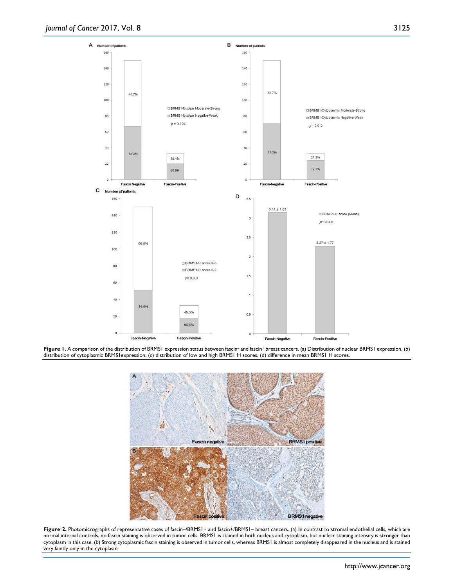A



Figure 1. A comparison of the distribution of BRMS1 expression status between fascin- and fascin<sup>+</sup> breast cancers. (a) Distribution of nuclear BRMS1 expression, (b) distribution of cytoplasmic BRMS1expression, (c) distribution of low and high BRMS1 H scores, (d) difference in mean BRMS1 H scores.



Figure 2. Photomicrographs of representative cases of fascin-/BRMS1+ and fascin+/BRMS1- breast cancers. (a) In contrast to stromal endothelial cells, which are normal internal controls, no fascin staining is observed in tumor cells. BRMS1 is stained in both nucleus and cytoplasm, but nuclear staining intensity is stronger than cytoplasm in this case. (b) Strong cytoplasmic fascin staining is observed in tumor cells, whereas BRMS1 is almost completely disappeared in the nucleus and is stained very faintly only in the cytoplasm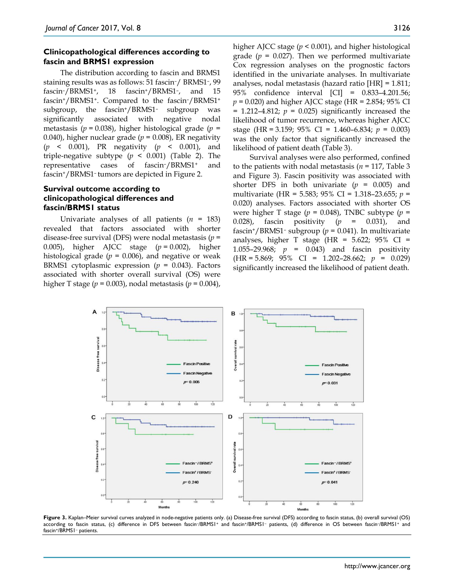### **Clinicopathological differences according to fascin and BRMS1 expression**

The distribution according to fascin and BRMS1 staining results was as follows: 51 fascin–/ BRMS1–, 99 fascin–/BRMS1+, 18 fascin+/BRMS1–, and 15 fascin+/BRMS1+. Compared to the fascin–/BRMS1+ subgroup, the fascin+/BRMS1– subgroup was significantly associated with negative nodal metastasis (*p* = 0.038), higher histological grade (*p* = 0.040), higher nuclear grade ( $p = 0.008$ ), ER negativity (*p* < 0.001), PR negativity (*p* < 0.001), and triple-negative subtype  $(p \le 0.001)$  (Table 2). The representative cases of fascin–/BRMS1+ and fascin+/BRMS1– tumors are depicted in Figure 2.

## **Survival outcome according to clinicopathological differences and fascin/BRMS1 status**

Univariate analyses of all patients (*n* = 183) revealed that factors associated with shorter disease-free survival (DFS) were nodal metastasis (*p* = 0.005), higher AJCC stage (*p* = 0.002), higher histological grade  $(p = 0.006)$ , and negative or weak BRMS1 cytoplasmic expression (*p* = 0.043). Factors associated with shorter overall survival (OS) were higher T stage (*p* = 0.003), nodal metastasis (*p* = 0.004),

higher AJCC stage (*p* < 0.001), and higher histological grade  $(p = 0.027)$ . Then we performed multivariate Cox regression analyses on the prognostic factors identified in the univariate analyses. In multivariate analyses, nodal metastasis (hazard ratio [HR] = 1.811; 95% confidence interval [CI] = 0.833–4.201.56; *p* = 0.020) and higher AJCC stage (HR = 2.854; 95% CI  $= 1.212 - 4.812$ ;  $p = 0.025$ ) significantly increased the likelihood of tumor recurrence, whereas higher AJCC stage (HR = 3.159; 95% CI = 1.460–6.834; *p* = 0.003) was the only factor that significantly increased the likelihood of patient death (Table 3).

Survival analyses were also performed, confined to the patients with nodal metastasis ( $n = 117$ , Table 3) and Figure 3). Fascin positivity was associated with shorter DFS in both univariate  $(p = 0.005)$  and multivariate (HR = 5.583; 95% CI = 1.318–23.655; *p* = 0.020) analyses. Factors associated with shorter OS were higher T stage ( $p = 0.048$ ), TNBC subtype ( $p =$ 0.028), fascin positivity (*p* = 0.031), and fascin<sup>+</sup>/BRMS1<sup>-</sup> subgroup ( $p = 0.041$ ). In multivariate analyses, higher T stage (HR =  $5.622$ ;  $95\%$  CI = 1.055–29.968; *p* = 0.043) and fascin positivity (HR = 5.869; 95% CI = 1.202–28.662; *p* = 0.029) significantly increased the likelihood of patient death.



Figure 3. Kaplan–Meier survival curves analyzed in node-negative patients only. (a) Disease-free survival (DFS) according to fascin status, (b) overall survival (OS) according to fascin status, (c) difference in DFS between fascin–/BRMS1+ and fascin+/BRMS1– patients, (d) difference in OS between fascin–/BRMS1+ and fascin+/BRMS1– patients.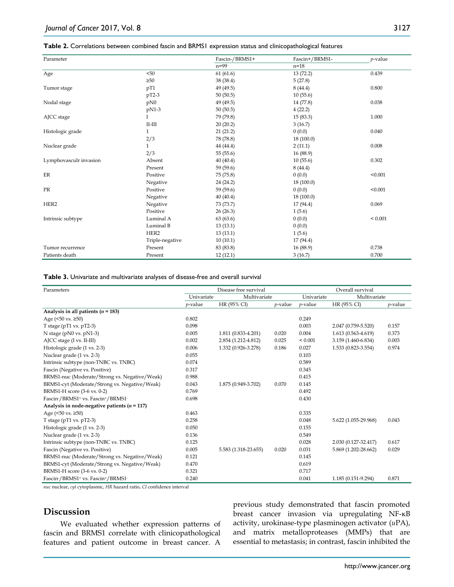#### **Table 2.** Correlations between combined fascin and BRMS1 expression status and clinicopathological features

| Parameter              |                     | Fascin-/BRMS1+ | Fascin+/BRMS1- | $p$ -value  |
|------------------------|---------------------|----------------|----------------|-------------|
|                        |                     | $n=99$         | $n=18$         |             |
| Age                    | < 50                | 61(61.6)       | 13(72.2)       | 0.439       |
|                        | $\geq 50$           | 38 (38.4)      | 5(27.8)        |             |
| Tumor stage            | pT1                 | 49 (49.5)      | 8(44.4)        | 0.800       |
|                        | $pT2-3$             | 50(50.5)       | 10(55.6)       |             |
| Nodal stage            | pN0                 | 49 (49.5)      | 14 (77.8)      | 0.038       |
|                        | pN1-3               | 50(50.5)       | 4(22.2)        |             |
| AJCC stage             |                     | 79 (79.8)      | 15(83.3)       | 1.000       |
|                        | $\rm II\text{-}III$ | 20(20.2)       | 3(16.7)        |             |
| Histologic grade       | $\mathbf{1}$        | 21(21.2)       | 0(0.0)         | 0.040       |
|                        | 2/3                 | 78 (78.8)      | 18 (100.0)     |             |
| Nuclear grade          | $\mathbf{1}$        | 44 (44.4)      | 2(11.1)        | 0.008       |
|                        | 2/3                 | 55 (55.6)      | 16 (88.9)      |             |
| Lymphovasculr invasion | Absent              | 40(40.4)       | 10(55.6)       | 0.302       |
|                        | Present             | 59 (59.6)      | 8(44.4)        |             |
| ER                     | Positive            | 75 (75.8)      | 0(0.0)         | < 0.001     |
|                        | Negative            | 24 (24.2)      | 18 (100.0)     |             |
| PR                     | Positive            | 59 (59.6)      | 0(0.0)         | < 0.001     |
|                        | Negative            | 40(40.4)       | 18 (100.0)     |             |
| HER <sub>2</sub>       | Negative            | 73 (73.7)      | 17 (94.4)      | 0.069       |
|                        | Positive            | 26(26.3)       | 1(5.6)         |             |
| Intrinsic subtype      | Luminal A           | 63(63.6)       | 0(0.0)         | ${}< 0.001$ |
|                        | Luminal B           | 13(13.1)       | 0(0.0)         |             |
|                        | HER2                | 13(13.1)       | 1(5.6)         |             |
|                        | Triple-negative     | 10(10.1)       | 17 (94.4)      |             |
| Tumor recurrence       | Present             | 83 (83.8)      | 16 (88.9)      | 0.738       |
| Patients death         | Present             | 12(12.1)       | 3(16.7)        | 0.700       |

#### **Table 3.** Univariate and multivariate analyses of disease-free and overall survival

| Parameters                                       | Disease free survival |                      |            | Overall survival |                      |                 |
|--------------------------------------------------|-----------------------|----------------------|------------|------------------|----------------------|-----------------|
|                                                  | Univariate            | Multivariate         |            | Univariate       | Multivariate         |                 |
|                                                  | <i>p</i> -value       | HR (95% CI)          | $p$ -value | p-value          | HR (95% CI)          | <i>p</i> -value |
| Analysis in all patients ( $n = 183$ )           |                       |                      |            |                  |                      |                 |
| Age $(50 \text{ vs. } 250)$                      | 0.802                 |                      |            | 0.249            |                      |                 |
| T stage ( $pT1$ vs. $pT2-3$ )                    | 0.098                 |                      |            | 0.003            | 2.047 (0.759-5.520)  | 0.157           |
| N stage (pN0 vs. pN1-3)                          | 0.005                 | 1.811 (0.833-4.201)  | 0.020      | 0.004            | 1.613 (0.563-4.619)  | 0.373           |
| AJCC stage (I vs. II-III)                        | 0.002                 | 2.854 (1.212-4.812)  | 0.025      | ${}_{0.001}$     | 3.159 (1.460-6.834)  | 0.003           |
| Histologic grade (1 vs. 2-3)                     | 0.006                 | 1.332 (0.926-3.278)  | 0.186      | 0.027            | 1.533 (0.823-3.554)  | 0.974           |
| Nuclear grade (1 vs. 2-3)                        | 0.055                 |                      |            | 0.103            |                      |                 |
| Intrinsic subtype (non-TNBC vs. TNBC)            | 0.074                 |                      |            | 0.589            |                      |                 |
| Fascin (Negative vs. Positive)                   | 0.317                 |                      |            | 0.345            |                      |                 |
| BRMS1-nuc (Moderate/Strong vs. Negative/Weak)    | 0.988                 |                      |            | 0.415            |                      |                 |
| BRMS1-cyt (Moderate/Strong vs. Negative/Weak)    | 0.043                 | 1.875 (0.949-3.702)  | 0.070      | 0.145            |                      |                 |
| BRMS1-H score (3-6 vs. 0-2)                      | 0.769                 |                      |            | 0.492            |                      |                 |
| Fascin-/BRMS1+ vs. Fascin+/BRMS1-                | 0.698                 |                      |            | 0.430            |                      |                 |
| Analysis in node-negative patients ( $n = 117$ ) |                       |                      |            |                  |                      |                 |
| Age $(50 \text{ vs. } 250)$                      | 0.463                 |                      |            | 0.335            |                      |                 |
| T stage ( $pT1$ vs. $pT2-3$ )                    | 0.258                 |                      |            | 0.048            | 5.622 (1.055-29.968) | 0.043           |
| Histologic grade (1 vs. 2-3)                     | 0.050                 |                      |            | 0.155            |                      |                 |
| Nuclear grade (1 vs. 2-3)                        | 0.136                 |                      |            | 0.549            |                      |                 |
| Intrinsic subtype (non-TNBC vs. TNBC)            | 0.125                 |                      |            | 0.028            | 2.030 (0.127-32.417) | 0.617           |
| Fascin (Negative vs. Positive)                   | 0.005                 | 5.583 (1.318-23.655) | 0.020      | 0.031            | 5.869 (1.202-28.662) | 0.029           |
| BRMS1-nuc (Moderate/Strong vs. Negative/Weak)    | 0.121                 |                      |            | 0.145            |                      |                 |
| BRMS1-cyt (Moderate/Strong vs. Negative/Weak)    | 0.470                 |                      |            | 0.619            |                      |                 |
| BRMS1-H score (3-6 vs. 0-2)                      | 0.321                 |                      |            | 0.717            |                      |                 |
| Fascin-/BRMS1+ vs. Fascin+/BRMS1-                | 0.240                 |                      |            | 0.041            | 1.185 (0.151-9.294)  | 0.871           |

*nuc* nuclear, *cyt* cytoplasmic, *HR* hazard ratio, *CI* confidence interval

## **Discussion**

We evaluated whether expression patterns of fascin and BRMS1 correlate with clinicopathological features and patient outcome in breast cancer. A

previous study demonstrated that fascin promoted breast cancer invasion via upregulating NF-κB activity, urokinase-type plasminogen activator (*u*PA), and matrix metalloproteases (MMPs) that are essential to metastasis; in contrast, fascin inhibited the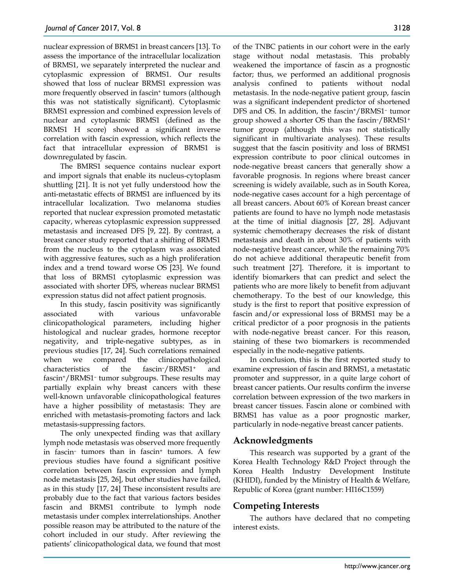nuclear expression of BRMS1 in breast cancers [13]. To assess the importance of the intracellular localization of BRMS1, we separately interpreted the nuclear and cytoplasmic expression of BRMS1. Our results showed that loss of nuclear BRMS1 expression was more frequently observed in fascin<sup>+</sup> tumors (although this was not statistically significant). Cytoplasmic BRMS1 expression and combined expression levels of nuclear and cytoplasmic BRMS1 (defined as the BRMS1 H score) showed a significant inverse correlation with fascin expression, which reflects the fact that intracellular expression of BRMS1 is downregulated by fascin.

The BMRS1 sequence contains nuclear export and import signals that enable its nucleus-cytoplasm shuttling [21]. It is not yet fully understood how the anti-metastatic effects of BRMS1 are influenced by its intracellular localization. Two melanoma studies reported that nuclear expression promoted metastatic capacity, whereas cytoplasmic expression suppressed metastasis and increased DFS [9, 22]. By contrast, a breast cancer study reported that a shifting of BRMS1 from the nucleus to the cytoplasm was associated with aggressive features, such as a high proliferation index and a trend toward worse OS [23]. We found that loss of BRMS1 cytoplasmic expression was associated with shorter DFS, whereas nuclear BRMS1 expression status did not affect patient prognosis.

In this study, fascin positivity was significantly associated with various unfavorable clinicopathological parameters, including higher histological and nuclear grades, hormone receptor negativity, and triple-negative subtypes, as in previous studies [17, 24]. Such correlations remained when we compared the clinicopathological characteristics of the fascin–/BRMS1+ and fascin+/BRMS1– tumor subgroups. These results may partially explain why breast cancers with these well-known unfavorable clinicopathological features have a higher possibility of metastasis: They are enriched with metastasis-promoting factors and lack metastasis-suppressing factors.

The only unexpected finding was that axillary lymph node metastasis was observed more frequently in fascin– tumors than in fascin+ tumors. A few previous studies have found a significant positive correlation between fascin expression and lymph node metastasis [25, 26], but other studies have failed, as in this study [17, 24] These inconsistent results are probably due to the fact that various factors besides fascin and BRMS1 contribute to lymph node metastasis under complex interrelationships. Another possible reason may be attributed to the nature of the cohort included in our study. After reviewing the patients' clinicopathological data, we found that most

of the TNBC patients in our cohort were in the early stage without nodal metastasis. This probably weakened the importance of fascin as a prognostic factor; thus, we performed an additional prognosis analysis confined to patients without nodal metastasis. In the node-negative patient group, fascin was a significant independent predictor of shortened DFS and OS. In addition, the fascin<sup>+</sup>/BRMS1<sup>-</sup> tumor group showed a shorter OS than the fascin–/BRMS1+ tumor group (although this was not statistically significant in multivariate analyses). These results suggest that the fascin positivity and loss of BRMS1 expression contribute to poor clinical outcomes in node-negative breast cancers that generally show a favorable prognosis. In regions where breast cancer screening is widely available, such as in South Korea, node-negative cases account for a high percentage of all breast cancers. About 60% of Korean breast cancer patients are found to have no lymph node metastasis at the time of initial diagnosis [27, 28]. Adjuvant systemic chemotherapy decreases the risk of distant metastasis and death in about 30% of patients with node-negative breast cancer, while the remaining 70% do not achieve additional therapeutic benefit from such treatment [27]. Therefore, it is important to identify biomarkers that can predict and select the patients who are more likely to benefit from adjuvant chemotherapy. To the best of our knowledge, this study is the first to report that positive expression of fascin and/or expressional loss of BRMS1 may be a critical predictor of a poor prognosis in the patients with node-negative breast cancer. For this reason, staining of these two biomarkers is recommended especially in the node-negative patients.

In conclusion, this is the first reported study to examine expression of fascin and BRMS1, a metastatic promoter and suppressor, in a quite large cohort of breast cancer patients. Our results confirm the inverse correlation between expression of the two markers in breast cancer tissues. Fascin alone or combined with BRMS1 has value as a poor prognostic marker, particularly in node-negative breast cancer patients.

## **Acknowledgments**

This research was supported by a grant of the Korea Health Technology R&D Project through the Korea Health Industry Development Institute (KHIDI), funded by the Ministry of Health & Welfare, Republic of Korea (grant number: HI16C1559)

# **Competing Interests**

The authors have declared that no competing interest exists.